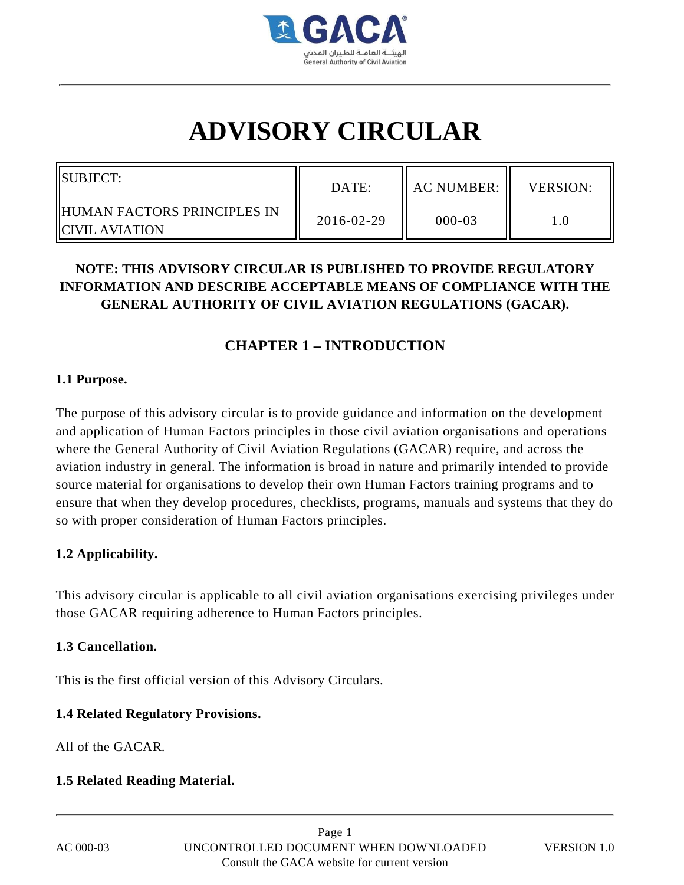

# **ADVISORY CIRCULAR**

| SUBJECT:                                          | DATE:      | AC NUMBER: II | <b>VERSION:</b> |
|---------------------------------------------------|------------|---------------|-----------------|
| IIHUMAN FACTORS PRINCIPLES IN<br>IICIVIL AVIATION | 2016-02-29 | $000 - 03$    |                 |

## **NOTE: THIS ADVISORY CIRCULAR IS PUBLISHED TO PROVIDE REGULATORY INFORMATION AND DESCRIBE ACCEPTABLE MEANS OF COMPLIANCE WITH THE GENERAL AUTHORITY OF CIVIL AVIATION REGULATIONS (GACAR).**

### **CHAPTER 1 – INTRODUCTION**

### **1.1 Purpose.**

The purpose of this advisory circular is to provide guidance and information on the development and application of Human Factors principles in those civil aviation organisations and operations where the General Authority of Civil Aviation Regulations (GACAR) require, and across the aviation industry in general. The information is broad in nature and primarily intended to provide source material for organisations to develop their own Human Factors training programs and to ensure that when they develop procedures, checklists, programs, manuals and systems that they do so with proper consideration of Human Factors principles.

### **1.2 Applicability.**

This advisory circular is applicable to all civil aviation organisations exercising privileges under those GACAR requiring adherence to Human Factors principles.

### **1.3 Cancellation.**

This is the first official version of this Advisory Circulars.

### **1.4 Related Regulatory Provisions.**

All of the GACAR.

### **1.5 Related Reading Material.**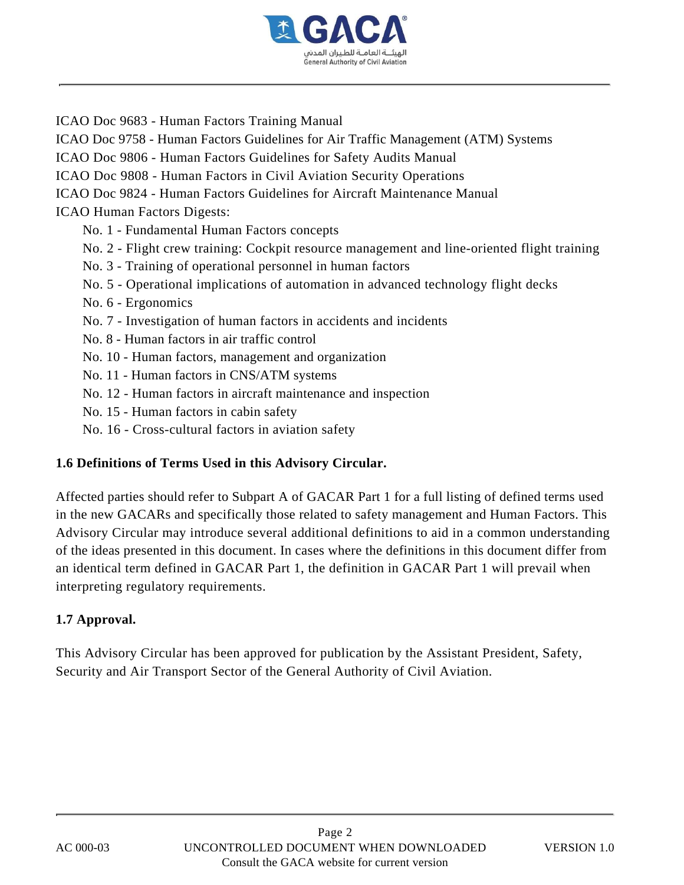

ICAO Doc 9683 - Human Factors Training Manual ICAO Doc 9758 - Human Factors Guidelines for Air Traffic Management (ATM) Systems ICAO Doc 9806 - Human Factors Guidelines for Safety Audits Manual ICAO Doc 9808 - Human Factors in Civil Aviation Security Operations ICAO Doc 9824 - Human Factors Guidelines for Aircraft Maintenance Manual ICAO Human Factors Digests: No. 1 - Fundamental Human Factors concepts No. 2 - Flight crew training: Cockpit resource management and line-oriented flight training No. 3 - Training of operational personnel in human factors No. 5 - Operational implications of automation in advanced technology flight decks No. 6 - Ergonomics No. 7 - Investigation of human factors in accidents and incidents No. 8 - Human factors in air traffic control No. 10 - Human factors, management and organization No. 11 - Human factors in CNS/ATM systems No. 12 - Human factors in aircraft maintenance and inspection No. 15 - Human factors in cabin safety No. 16 - Cross-cultural factors in aviation safety

### **1.6 Definitions of Terms Used in this Advisory Circular.**

Affected parties should refer to Subpart A of GACAR Part 1 for a full listing of defined terms used in the new GACARs and specifically those related to safety management and Human Factors. This Advisory Circular may introduce several additional definitions to aid in a common understanding of the ideas presented in this document. In cases where the definitions in this document differ from an identical term defined in GACAR Part 1, the definition in GACAR Part 1 will prevail when interpreting regulatory requirements.

#### **1.7 Approval.**

This Advisory Circular has been approved for publication by the Assistant President, Safety, Security and Air Transport Sector of the General Authority of Civil Aviation.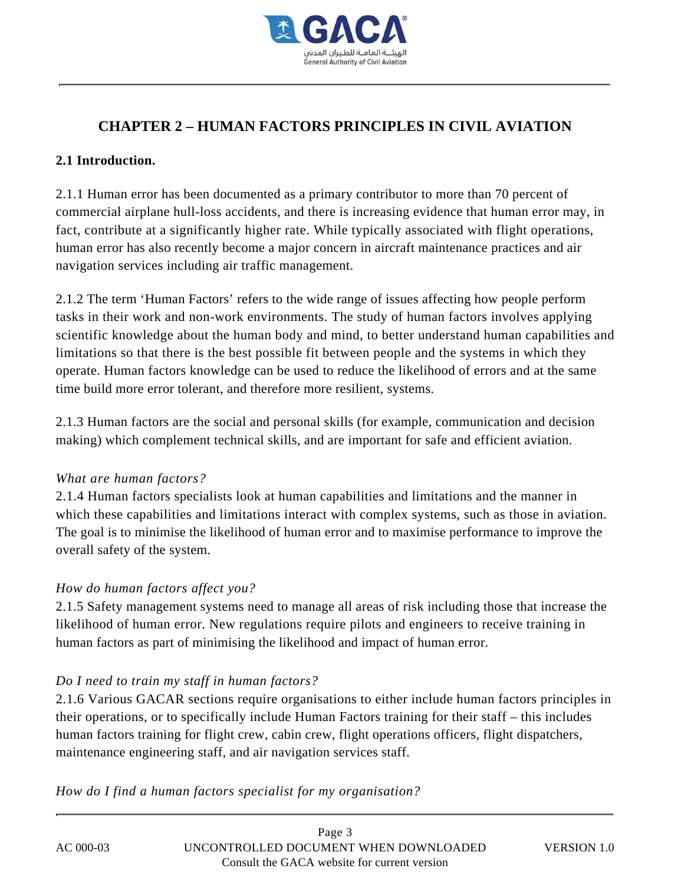

# **CHAPTER 2 – HUMAN FACTORS PRINCIPLES IN CIVIL AVIATION**

### **2.1 Introduction.**

2.1.1 Human error has been documented as a primary contributor to more than 70 percent of commercial airplane hull-loss accidents, and there is increasing evidence that human error may, in fact, contribute at a significantly higher rate. While typically associated with flight operations, human error has also recently become a major concern in aircraft maintenance practices and air navigation services including air traffic management.

2.1.2 The term 'Human Factors' refers to the wide range of issues affecting how people perform tasks in their work and non-work environments. The study of human factors involves applying scientific knowledge about the human body and mind, to better understand human capabilities and limitations so that there is the best possible fit between people and the systems in which they operate. Human factors knowledge can be used to reduce the likelihood of errors and at the same time build more error tolerant, and therefore more resilient, systems.

2.1.3 Human factors are the social and personal skills (for example, communication and decision making) which complement technical skills, and are important for safe and efficient aviation.

### *What are human factors?*

2.1.4 Human factors specialists look at human capabilities and limitations and the manner in which these capabilities and limitations interact with complex systems, such as those in aviation. The goal is to minimise the likelihood of human error and to maximise performance to improve the overall safety of the system.

### *How do human factors affect you?*

2.1.5 Safety management systems need to manage all areas of risk including those that increase the likelihood of human error. New regulations require pilots and engineers to receive training in human factors as part of minimising the likelihood and impact of human error.

### *Do I need to train my staff in human factors?*

2.1.6 Various GACAR sections require organisations to either include human factors principles in their operations, or to specifically include Human Factors training for their staff – this includes human factors training for flight crew, cabin crew, flight operations officers, flight dispatchers, maintenance engineering staff, and air navigation services staff.

*How do I find a human factors specialist for my organisation?*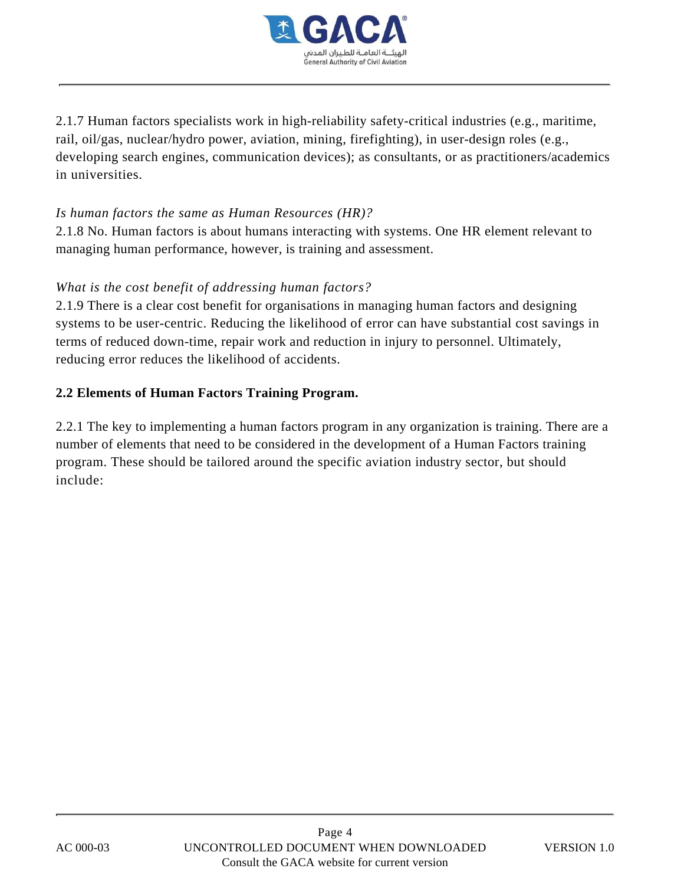

2.1.7 Human factors specialists work in high-reliability safety-critical industries (e.g., maritime, rail, oil/gas, nuclear/hydro power, aviation, mining, firefighting), in user-design roles (e.g., developing search engines, communication devices); as consultants, or as practitioners/academics in universities.

### *Is human factors the same as Human Resources (HR)?*

2.1.8 No. Human factors is about humans interacting with systems. One HR element relevant to managing human performance, however, is training and assessment.

### *What is the cost benefit of addressing human factors?*

2.1.9 There is a clear cost benefit for organisations in managing human factors and designing systems to be user-centric. Reducing the likelihood of error can have substantial cost savings in terms of reduced down-time, repair work and reduction in injury to personnel. Ultimately, reducing error reduces the likelihood of accidents.

### **2.2 Elements of Human Factors Training Program.**

2.2.1 The key to implementing a human factors program in any organization is training. There are a number of elements that need to be considered in the development of a Human Factors training program. These should be tailored around the specific aviation industry sector, but should include: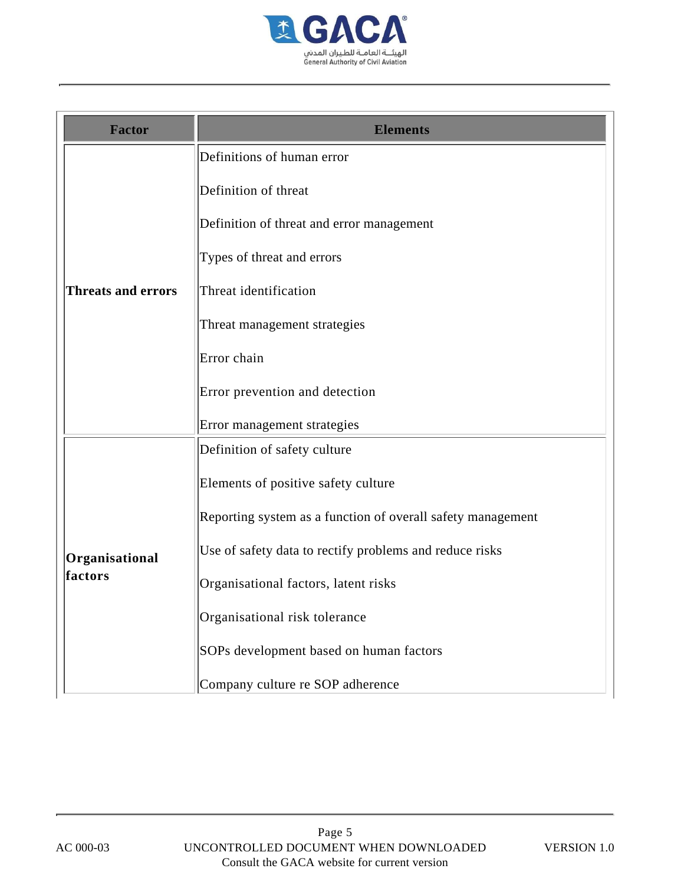

| <b>Factor</b>             | <b>Elements</b>                                             |
|---------------------------|-------------------------------------------------------------|
| <b>Threats and errors</b> | Definitions of human error                                  |
|                           | Definition of threat                                        |
|                           | Definition of threat and error management                   |
|                           | Types of threat and errors                                  |
|                           | Threat identification                                       |
|                           | Threat management strategies                                |
|                           | Error chain                                                 |
|                           | Error prevention and detection                              |
|                           | Error management strategies                                 |
|                           | Definition of safety culture                                |
| Organisational<br>factors | Elements of positive safety culture                         |
|                           | Reporting system as a function of overall safety management |
|                           | Use of safety data to rectify problems and reduce risks     |
|                           | Organisational factors, latent risks                        |
|                           | Organisational risk tolerance                               |
|                           | SOPs development based on human factors                     |
|                           | Company culture re SOP adherence                            |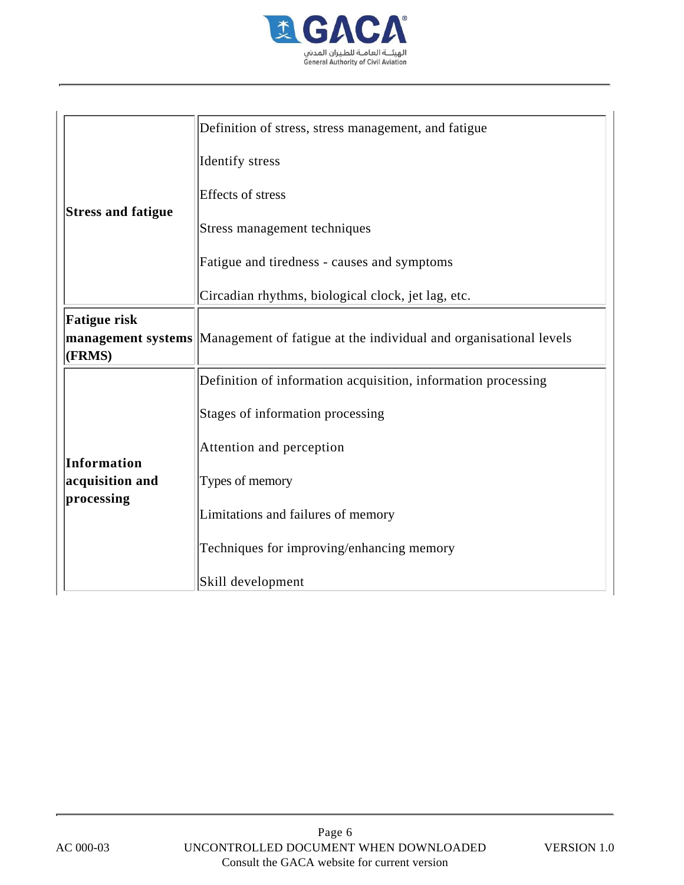

| <b>Stress and fatigue</b>                    | Definition of stress, stress management, and fatigue                                        |
|----------------------------------------------|---------------------------------------------------------------------------------------------|
|                                              | Identify stress                                                                             |
|                                              | Effects of stress                                                                           |
|                                              | Stress management techniques                                                                |
|                                              | Fatigue and tiredness - causes and symptoms                                                 |
|                                              | Circadian rhythms, biological clock, jet lag, etc.                                          |
| <b>Fatigue risk</b><br>(FRMS)                | <b>management systems</b> Management of fatigue at the individual and organisational levels |
|                                              | Definition of information acquisition, information processing                               |
| Information<br>acquisition and<br>processing | Stages of information processing                                                            |
|                                              | Attention and perception                                                                    |
|                                              | Types of memory                                                                             |
|                                              | Limitations and failures of memory                                                          |
|                                              | Techniques for improving/enhancing memory                                                   |
|                                              | Skill development                                                                           |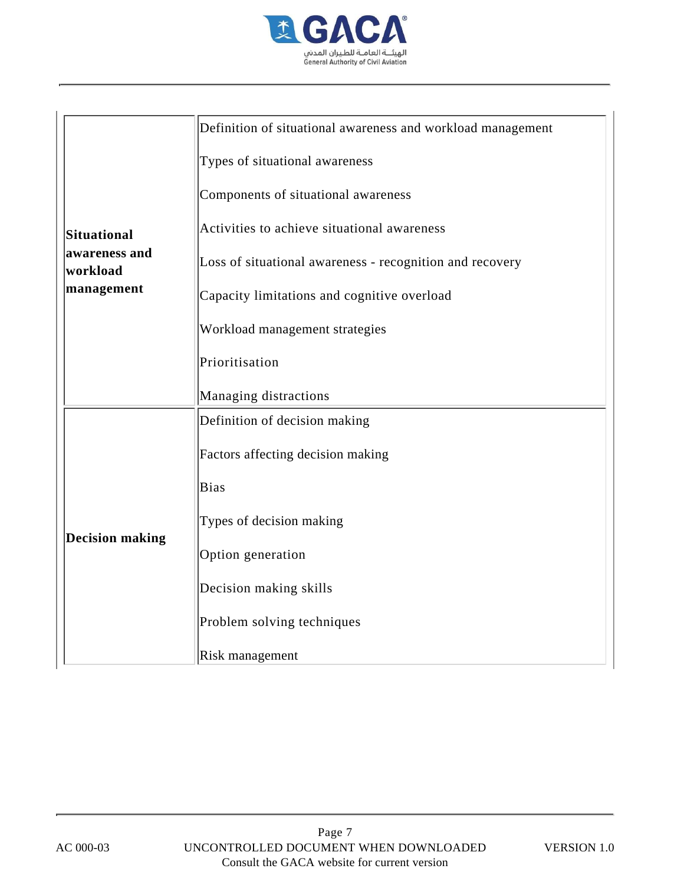

| Situational<br>awareness and<br>workload<br>management | Definition of situational awareness and workload management |
|--------------------------------------------------------|-------------------------------------------------------------|
|                                                        | Types of situational awareness                              |
|                                                        | Components of situational awareness                         |
|                                                        | Activities to achieve situational awareness                 |
|                                                        | Loss of situational awareness - recognition and recovery    |
|                                                        | Capacity limitations and cognitive overload                 |
|                                                        | Workload management strategies                              |
|                                                        | Prioritisation                                              |
|                                                        | Managing distractions                                       |
|                                                        | Definition of decision making                               |
| <b>Decision making</b>                                 | Factors affecting decision making                           |
|                                                        | Bias                                                        |
|                                                        | Types of decision making                                    |
|                                                        | Option generation                                           |
|                                                        | Decision making skills                                      |
|                                                        | Problem solving techniques                                  |
|                                                        | Risk management                                             |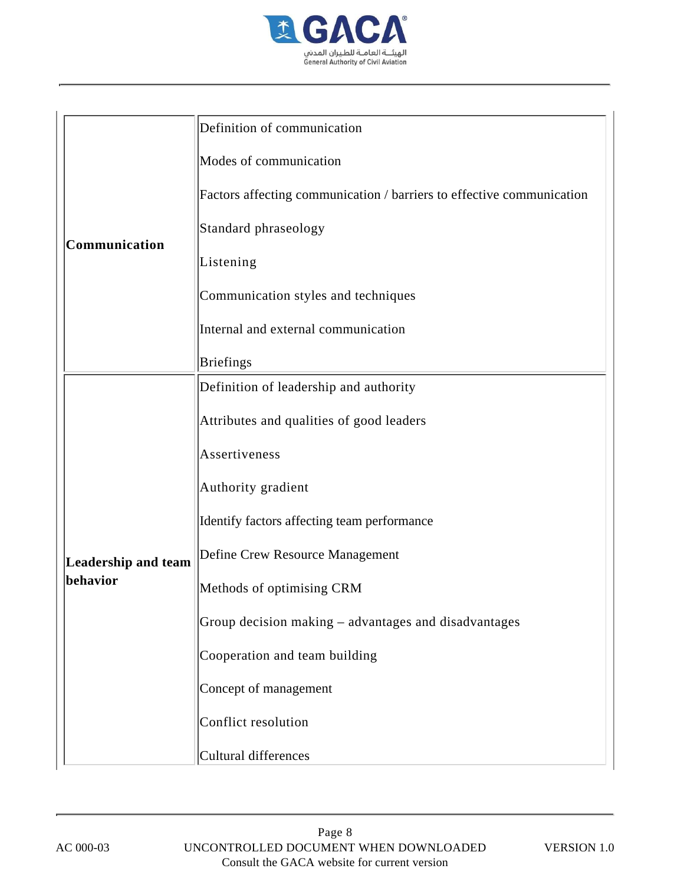

| Communication                   | Definition of communication                                           |
|---------------------------------|-----------------------------------------------------------------------|
|                                 | Modes of communication                                                |
|                                 | Factors affecting communication / barriers to effective communication |
|                                 | Standard phraseology                                                  |
|                                 | Listening                                                             |
|                                 | Communication styles and techniques                                   |
|                                 | Internal and external communication                                   |
|                                 | <b>Briefings</b>                                                      |
| Leadership and team<br>behavior | Definition of leadership and authority                                |
|                                 | Attributes and qualities of good leaders                              |
|                                 | Assertiveness                                                         |
|                                 | Authority gradient                                                    |
|                                 | Identify factors affecting team performance                           |
|                                 | Define Crew Resource Management                                       |
|                                 | Methods of optimising CRM                                             |
|                                 | Group decision making – advantages and disadvantages                  |
|                                 | Cooperation and team building                                         |
|                                 | Concept of management                                                 |
|                                 | Conflict resolution                                                   |
|                                 | Cultural differences                                                  |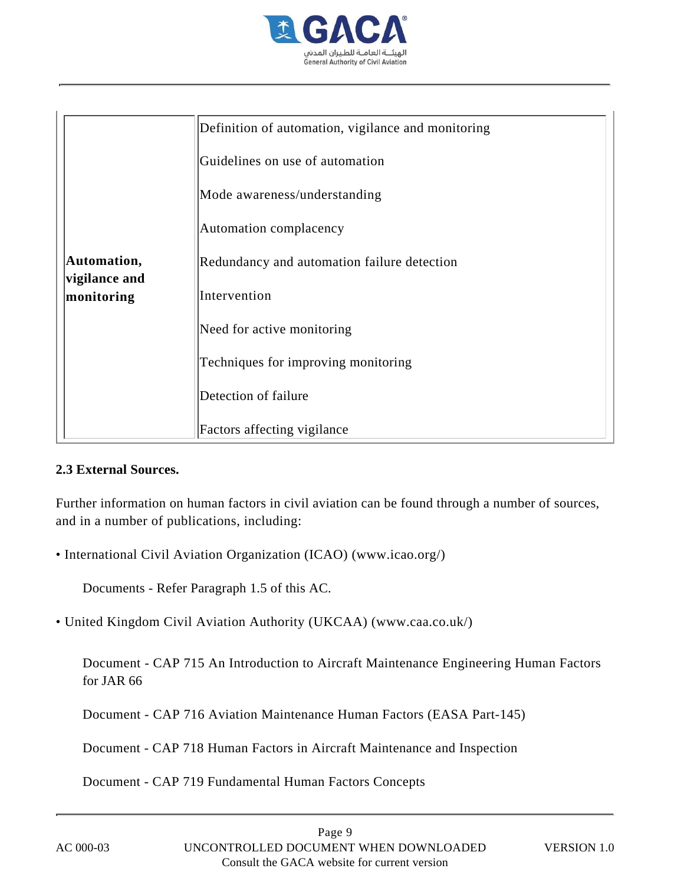

| Automation,                 | Definition of automation, vigilance and monitoring |
|-----------------------------|----------------------------------------------------|
|                             | Guidelines on use of automation                    |
|                             | Mode awareness/understanding                       |
|                             | Automation complacency                             |
|                             | Redundancy and automation failure detection        |
| vigilance and<br>monitoring | Intervention                                       |
|                             | Need for active monitoring                         |
|                             | Techniques for improving monitoring                |
|                             | Detection of failure                               |
|                             | Factors affecting vigilance                        |

### **2.3 External Sources.**

Further information on human factors in civil aviation can be found through a number of sources, and in a number of publications, including:

• International Civil Aviation Organization (ICAO) (www.icao.org/)

Documents - Refer Paragraph 1.5 of this AC.

• United Kingdom Civil Aviation Authority (UKCAA) (www.caa.co.uk/)

Document - CAP 715 An Introduction to Aircraft Maintenance Engineering Human Factors for JAR 66

Document - CAP 716 Aviation Maintenance Human Factors (EASA Part-145)

Document - CAP 718 Human Factors in Aircraft Maintenance and Inspection

Document - CAP 719 Fundamental Human Factors Concepts